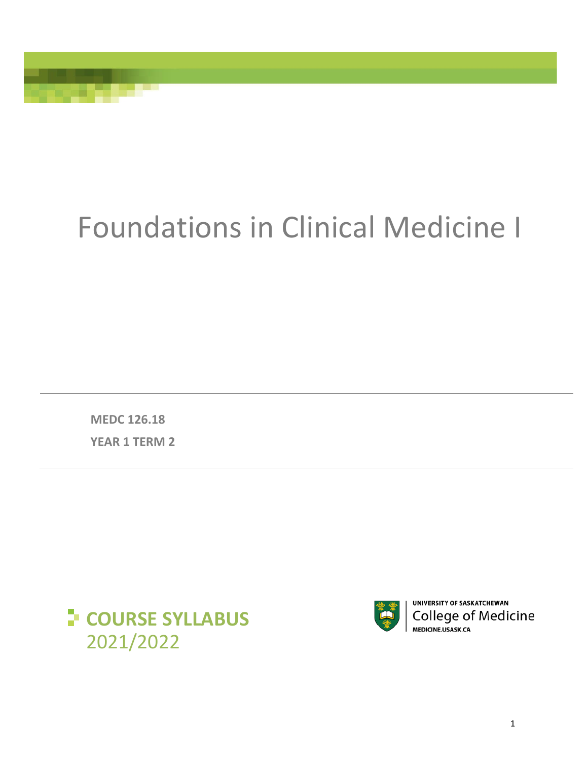# Foundations in Clinical Medicine I

**MEDC 126.18 YEAR 1 TERM 2**





UNIVERSITY OF SASKATCHEWAN **College of Medicine** MEDICINE.USASK.CA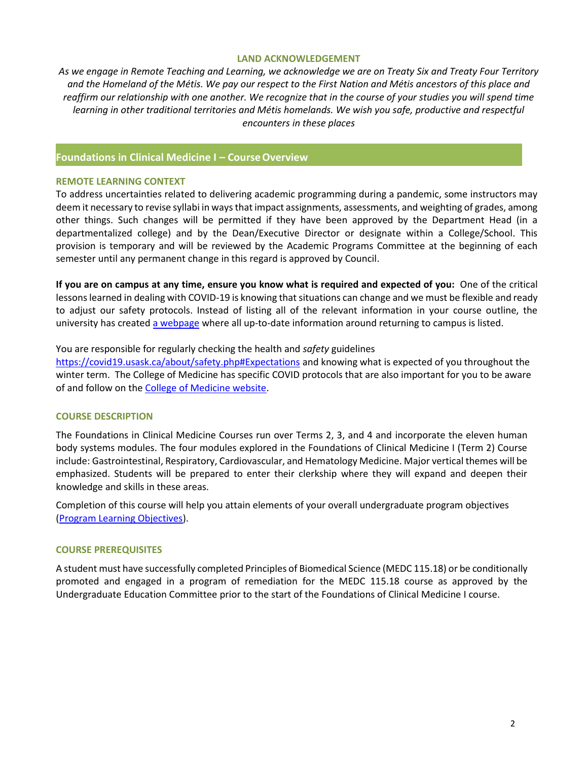#### **LAND ACKNOWLEDGEMENT**

*As we engage in Remote Teaching and Learning, we acknowledge we are on Treaty Six and Treaty Four Territory and the Homeland of the Métis. We pay our respect to the First Nation and Métis ancestors of this place and*  reaffirm our relationship with one another. We recognize that in the course of your studies you will spend time *learning in other traditional territories and Métis homelands. We wish you safe, productive and respectful encounters in these places*

# **Foundations in Clinical Medicine I – CourseOverview**

#### **REMOTE LEARNING CONTEXT**

To address uncertainties related to delivering academic programming during a pandemic, some instructors may deem it necessary to revise syllabi in ways that impact assignments, assessments, and weighting of grades, among other things. Such changes will be permitted if they have been approved by the Department Head (in a departmentalized college) and by the Dean/Executive Director or designate within a College/School. This provision is temporary and will be reviewed by the Academic Programs Committee at the beginning of each semester until any permanent change in this regard is approved by Council.

**If you are on campus at any time, ensure you know what is required and expected of you:** One of the critical lessons learned in dealing with COVID-19 is knowing that situations can change and we must be flexible and ready to adjust our safety protocols. Instead of listing all of the relevant information in your course outline, the university has created [a webpage](https://covid19.usask.ca/students.php#Oncampusessentials) where all up-to-date information around returning to campus is listed.

#### You are responsible for regularly checking the health and *safety* guidelines

<https://covid19.usask.ca/about/safety.php#Expectations> and knowing what is expected of you throughout the winter term. The College of Medicine has specific COVID protocols that are also important for you to be aware of and follow on the [College of Medicine website.](https://medicine.usask.ca/students/covid19.php)

#### **COURSE DESCRIPTION**

The Foundations in Clinical Medicine Courses run over Terms 2, 3, and 4 and incorporate the eleven human body systems modules. The four modules explored in the Foundations of Clinical Medicine I (Term 2) Course include: Gastrointestinal, Respiratory, Cardiovascular, and Hematology Medicine. Major vertical themes will be emphasized. Students will be prepared to enter their clerkship where they will expand and deepen their knowledge and skills in these areas.

Completion of this course will help you attain elements of your overall undergraduate program objectives [\(Program Learning Objectives\)](https://medicine.usask.ca/students/undergraduate/curriculum-schedules-objectives.php).

#### **COURSE PREREQUISITES**

A student must have successfully completed Principles of Biomedical Science (MEDC 115.18) or be conditionally promoted and engaged in a program of remediation for the MEDC 115.18 course as approved by the Undergraduate Education Committee prior to the start of the Foundations of Clinical Medicine I course.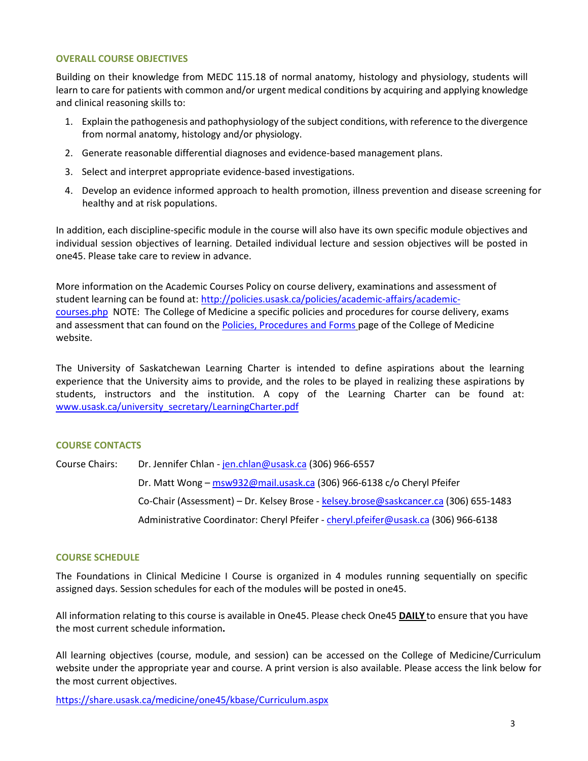# **OVERALL COURSE OBJECTIVES**

Building on their knowledge from MEDC 115.18 of normal anatomy, histology and physiology, students will learn to care for patients with common and/or urgent medical conditions by acquiring and applying knowledge and clinical reasoning skills to:

- 1. Explain the pathogenesis and pathophysiology of the subject conditions, with reference to the divergence from normal anatomy, histology and/or physiology.
- 2. Generate reasonable differential diagnoses and evidence-based management plans.
- 3. Select and interpret appropriate evidence-based investigations.
- 4. Develop an evidence informed approach to health promotion, illness prevention and disease screening for healthy and at risk populations.

In addition, each discipline-specific module in the course will also have its own specific module objectives and individual session objectives of learning. Detailed individual lecture and session objectives will be posted in one45. Please take care to review in advance.

More information on the Academic Courses Policy on course delivery, examinations and assessment of student learning can be found at: [http://policies.usask.ca/policies/academic-affairs/academic](http://policies.usask.ca/policies/academic-affairs/academic-courses.php)[courses.php](http://policies.usask.ca/policies/academic-affairs/academic-courses.php) NOTE: The College of Medicine a specific policies and procedures for course delivery, exams and assessment that can found on the [Policies, Procedures and Forms](https://medicine.usask.ca/students/undergraduate/policies.php) page of the College of Medicine website.

The University of Saskatchewan Learning Charter is intended to define aspirations about the learning experience that the University aims to provide, and the roles to be played in realizing these aspirations by students, instructors and the institution. A copy of the Learning Charter can be found at: [www.usask.ca/university\\_secretary/LearningCharter.pdf](http://www.usask.ca/university_secretary/LearningCharter.pdf)

#### **COURSE CONTACTS**

Course Chairs: Dr. Jennifer Chlan - [jen.chlan@usask.ca](mailto:jen.chlan@usask.ca) (306) 966-6557 Dr. Matt Wong – [msw932@mail.usask.ca](mailto:msw932@mail.usask.ca) (306) 966-6138 c/o Cheryl Pfeifer Co-Chair (Assessment) – Dr. Kelsey Brose - [kelsey.brose@saskcancer.ca](mailto:kelsey.brose@saskcancer.ca) (306) 655-1483 Administrative Coordinator: Cheryl Pfeifer - [cheryl.pfeifer@usask.ca](mailto:cheryl.pfeifer@usask.ca) (306) 966-6138

# **COURSE SCHEDULE**

The Foundations in Clinical Medicine I Course is organized in 4 modules running sequentially on specific assigned days. Session schedules for each of the modules will be posted in one45.

All information relating to this course is available in One45. Please check One45 **DAILY** to ensure that you have the most current schedule information**.**

All learning objectives (course, module, and session) can be accessed on the College of Medicine/Curriculum website under the appropriate year and course. A print version is also available. Please access the link below for the most current objectives.

<https://share.usask.ca/medicine/one45/kbase/Curriculum.aspx>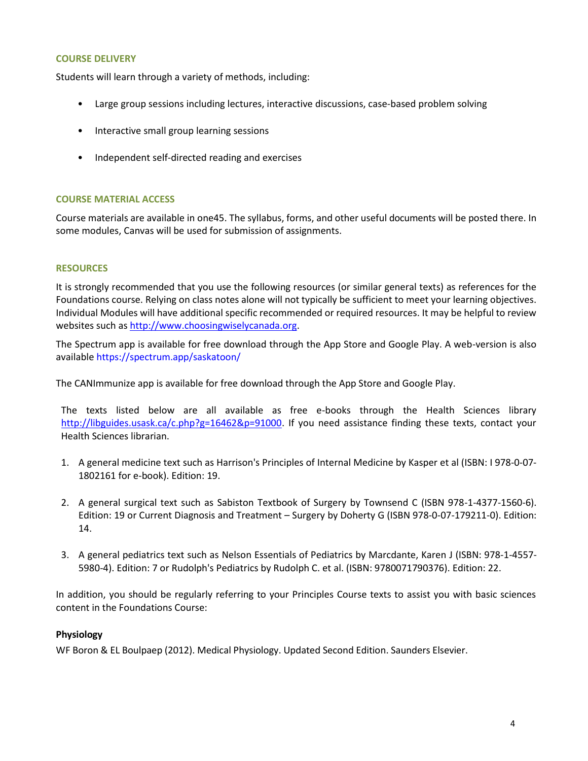#### **COURSE DELIVERY**

Students will learn through a variety of methods, including:

- Large group sessions including lectures, interactive discussions, case-based problem solving
- Interactive small group learning sessions
- Independent self-directed reading and exercises

# **COURSE MATERIAL ACCESS**

Course materials are available in one45. The syllabus, forms, and other useful documents will be posted there. In some modules, Canvas will be used for submission of assignments.

# **RESOURCES**

It is strongly recommended that you use the following resources (or similar general texts) as references for the Foundations course. Relying on class notes alone will not typically be sufficient to meet your learning objectives. Individual Modules will have additional specific recommended or required resources. It may be helpful to review websites such as [http://www.choosingwiselycanada.org.](http://www.choosingwiselycanada.org/)

The Spectrum app is available for free download through the App Store and Google Play. A web-version is also available https://spectrum.app/saskatoon/

The CANImmunize app is available for free download through the App Store and Google Play.

The texts listed below are all available as free e-books through the Health Sciences library [http://libguides.usask.ca/c.php?g=16462&p=91000.](http://libguides.usask.ca/c.php?g=16462&p=91000) If you need assistance finding these texts, contact your Health Sciences librarian.

- 1. A general medicine text such as Harrison's Principles of Internal Medicine by Kasper et al (ISBN: I 978-0-07- 1802161 for e-book). Edition: 19.
- 2. A general surgical text such as Sabiston Textbook of Surgery by Townsend C (ISBN 978-1-4377-1560-6). Edition: 19 or Current Diagnosis and Treatment – Surgery by Doherty G (ISBN 978-0-07-179211-0). Edition: 14.
- 3. A general pediatrics text such as Nelson Essentials of Pediatrics by Marcdante, Karen J (ISBN: 978-1-4557- 5980-4). Edition: 7 or Rudolph's Pediatrics by Rudolph C. et al. (ISBN: 9780071790376). Edition: 22.

In addition, you should be regularly referring to your Principles Course texts to assist you with basic sciences content in the Foundations Course:

# **Physiology**

WF Boron & EL Boulpaep (2012). Medical Physiology. Updated Second Edition. Saunders Elsevier.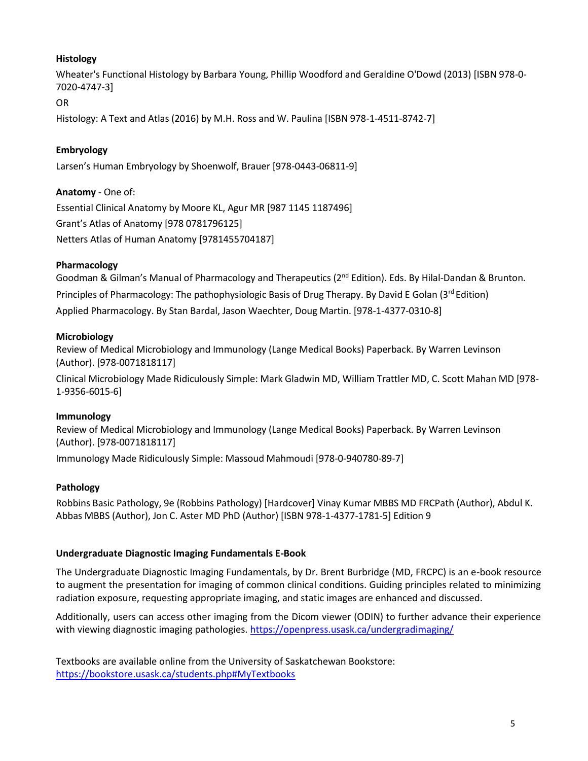# **Histology**

Wheater's Functional Histology by Barbara Young, Phillip Woodford and Geraldine O'Dowd (2013) [ISBN 978-0- 7020-4747-3]

# OR

Histology: A Text and Atlas (2016) by M.H. Ross and W. Paulina [ISBN 978-1-4511-8742-7]

# **Embryology**

Larsen's Human Embryology by Shoenwolf, Brauer [978-0443-06811-9]

# **Anatomy** - One of:

Essential Clinical Anatomy by Moore KL, Agur MR [987 1145 1187496] Grant's Atlas of Anatomy [978 0781796125] Netters Atlas of Human Anatomy [9781455704187]

# **Pharmacology**

Goodman & Gilman's Manual of Pharmacology and Therapeutics ( $2^{nd}$  Edition). Eds. By Hilal-Dandan & Brunton. Principles of Pharmacology: The pathophysiologic Basis of Drug Therapy. By David E Golan (3<sup>rd</sup> Edition) Applied Pharmacology. By Stan Bardal, Jason Waechter, Doug Martin. [978-1-4377-0310-8]

# **Microbiology**

Review of Medical Microbiology and Immunology (Lange Medical Books) Paperback. By Warren Levinson (Author). [978-0071818117]

Clinical Microbiology Made Ridiculously Simple: Mark Gladwin MD, William Trattler MD, C. Scott Mahan MD [978- 1-9356-6015-6]

# **Immunology**

Review of Medical Microbiology and Immunology (Lange Medical Books) Paperback. By Warren Levinson (Author). [978-0071818117]

Immunology Made Ridiculously Simple: Massoud Mahmoudi [978-0-940780-89-7]

# **Pathology**

Robbins Basic Pathology, 9e (Robbins Pathology) [Hardcover] Vinay Kumar MBBS MD FRCPath (Author), Abdul K. Abbas MBBS (Author), Jon C. Aster MD PhD (Author) [ISBN 978-1-4377-1781-5] Edition 9

# **Undergraduate Diagnostic Imaging Fundamentals E-Book**

The Undergraduate Diagnostic Imaging Fundamentals, by Dr. Brent Burbridge (MD, FRCPC) is an e-book resource to augment the presentation for imaging of common clinical conditions. Guiding principles related to minimizing radiation exposure, requesting appropriate imaging, and static images are enhanced and discussed.

Additionally, users can access other imaging from the Dicom viewer (ODIN) to further advance their experience with viewing diagnostic imaging pathologies. https://openpress.usask.ca/undergradimaging/

Textbooks are available online from the University of Saskatchewan Bookstore: <https://bookstore.usask.ca/students.php#MyTextbooks>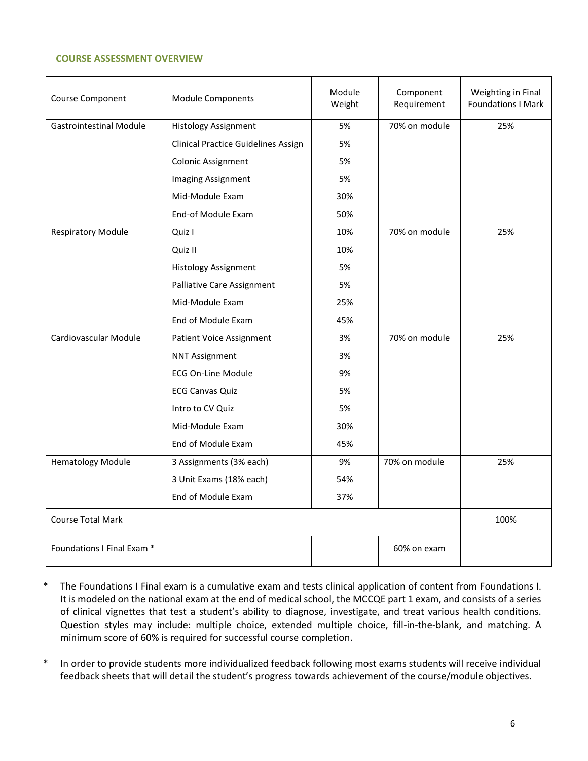# **COURSE ASSESSMENT OVERVIEW**

| Course Component               | <b>Module Components</b>                   | Module<br>Weight | Component<br>Requirement | Weighting in Final<br><b>Foundations I Mark</b> |
|--------------------------------|--------------------------------------------|------------------|--------------------------|-------------------------------------------------|
| <b>Gastrointestinal Module</b> | <b>Histology Assignment</b>                | 5%               | 70% on module            | 25%                                             |
|                                | <b>Clinical Practice Guidelines Assign</b> | 5%               |                          |                                                 |
|                                | Colonic Assignment                         | 5%               |                          |                                                 |
|                                | <b>Imaging Assignment</b>                  | 5%               |                          |                                                 |
|                                | Mid-Module Exam                            | 30%              |                          |                                                 |
|                                | End-of Module Exam                         | 50%              |                          |                                                 |
| <b>Respiratory Module</b>      | Quiz I                                     | 10%              | 70% on module            | 25%                                             |
|                                | Quiz II                                    | 10%              |                          |                                                 |
|                                | <b>Histology Assignment</b>                | 5%               |                          |                                                 |
|                                | <b>Palliative Care Assignment</b>          | 5%               |                          |                                                 |
|                                | Mid-Module Exam                            | 25%              |                          |                                                 |
|                                | End of Module Exam                         | 45%              |                          |                                                 |
| Cardiovascular Module          | <b>Patient Voice Assignment</b>            | 3%               | 70% on module            | 25%                                             |
|                                | <b>NNT Assignment</b>                      | 3%               |                          |                                                 |
|                                | <b>ECG On-Line Module</b>                  | 9%               |                          |                                                 |
|                                | <b>ECG Canvas Quiz</b>                     | 5%               |                          |                                                 |
|                                | Intro to CV Quiz                           | 5%               |                          |                                                 |
|                                | Mid-Module Exam                            | 30%              |                          |                                                 |
|                                | End of Module Exam                         | 45%              |                          |                                                 |
| <b>Hematology Module</b>       | 3 Assignments (3% each)                    | 9%               | 70% on module            | 25%                                             |
|                                | 3 Unit Exams (18% each)                    | 54%              |                          |                                                 |
|                                | End of Module Exam                         | 37%              |                          |                                                 |
| <b>Course Total Mark</b>       |                                            |                  |                          | 100%                                            |
| Foundations I Final Exam *     |                                            |                  | 60% on exam              |                                                 |

- \* The Foundations I Final exam is a cumulative exam and tests clinical application of content from Foundations I. It is modeled on the national exam at the end of medical school, the MCCQE part 1 exam, and consists of a series of clinical vignettes that test a student's ability to diagnose, investigate, and treat various health conditions. Question styles may include: multiple choice, extended multiple choice, fill-in-the-blank, and matching. A minimum score of 60% is required for successful course completion.
- \* In order to provide students more individualized feedback following most exams students will receive individual feedback sheets that will detail the student's progress towards achievement of the course/module objectives.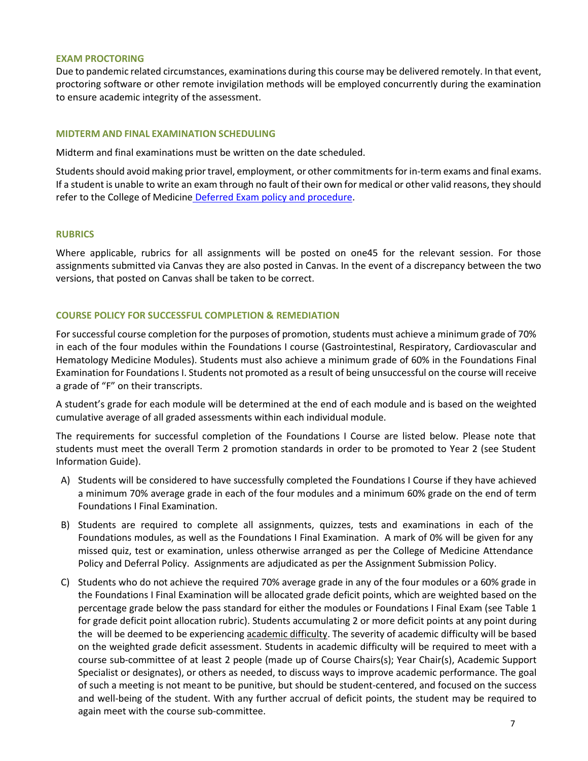#### **EXAM PROCTORING**

Due to pandemic related circumstances, examinations during this course may be delivered remotely. In that event, proctoring software or other remote invigilation methods will be employed concurrently during the examination to ensure academic integrity of the assessment.

## **MIDTERM AND FINAL EXAMINATION SCHEDULING**

Midterm and final examinations must be written on the date scheduled.

Students should avoid making prior travel, employment, or other commitments for in-term exams and final exams. If a student is unable to write an exam through no fault of their own for medical or other valid reasons, they should refer to the College of Medicine [Deferred Exam policy and procedure.](https://medicine.usask.ca/policies/deferred-exams.php)

#### **RUBRICS**

Where applicable, rubrics for all assignments will be posted on one45 for the relevant session. For those assignments submitted via Canvas they are also posted in Canvas. In the event of a discrepancy between the two versions, that posted on Canvas shall be taken to be correct.

# **COURSE POLICY FOR SUCCESSFUL COMPLETION & REMEDIATION**

For successful course completion for the purposes of promotion, students must achieve a minimum grade of 70% in each of the four modules within the Foundations I course (Gastrointestinal, Respiratory, Cardiovascular and Hematology Medicine Modules). Students must also achieve a minimum grade of 60% in the Foundations Final Examination for Foundations I. Students not promoted as a result of being unsuccessful on the course will receive a grade of "F" on their transcripts.

A student's grade for each module will be determined at the end of each module and is based on the weighted cumulative average of all graded assessments within each individual module.

The requirements for successful completion of the Foundations I Course are listed below. Please note that students must meet the overall Term 2 promotion standards in order to be promoted to Year 2 (see Student Information Guide).

- A) Students will be considered to have successfully completed the Foundations I Course if they have achieved a minimum 70% average grade in each of the four modules and a minimum 60% grade on the end of term Foundations I Final Examination.
- B) Students are required to complete all assignments, quizzes, tests and examinations in each of the Foundations modules, as well as the Foundations I Final Examination. A mark of 0% will be given for any missed quiz, test or examination, unless otherwise arranged as per the College of Medicine Attendance Policy and Deferral Policy. Assignments are adjudicated as per the Assignment Submission Policy.
- C) Students who do not achieve the required 70% average grade in any of the four modules or a 60% grade in the Foundations I Final Examination will be allocated grade deficit points, which are weighted based on the percentage grade below the pass standard for either the modules or Foundations I Final Exam (see Table 1 for grade deficit point allocation rubric). Students accumulating 2 or more deficit points at any point during the will be deemed to be experiencing academic difficulty. The severity of academic difficulty will be based on the weighted grade deficit assessment. Students in academic difficulty will be required to meet with a course sub-committee of at least 2 people (made up of Course Chairs(s); Year Chair(s), Academic Support Specialist or designates), or others as needed, to discuss ways to improve academic performance. The goal of such a meeting is not meant to be punitive, but should be student-centered, and focused on the success and well-being of the student. With any further accrual of deficit points, the student may be required to again meet with the course sub-committee.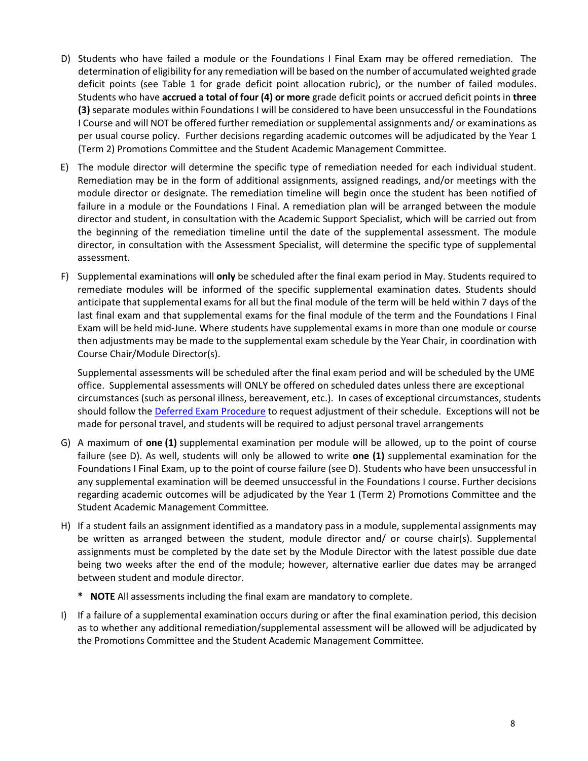- D) Students who have failed a module or the Foundations I Final Exam may be offered remediation. The determination of eligibility for any remediation will be based on the number of accumulated weighted grade deficit points (see Table 1 for grade deficit point allocation rubric), or the number of failed modules. Students who have **accrued a total of four (4) or more** grade deficit points or accrued deficit points in **three (3)** separate modules within Foundations I will be considered to have been unsuccessful in the Foundations I Course and will NOT be offered further remediation or supplemental assignments and/ or examinations as per usual course policy. Further decisions regarding academic outcomes will be adjudicated by the Year 1 (Term 2) Promotions Committee and the Student Academic Management Committee.
- E) The module director will determine the specific type of remediation needed for each individual student. Remediation may be in the form of additional assignments, assigned readings, and/or meetings with the module director or designate. The remediation timeline will begin once the student has been notified of failure in a module or the Foundations I Final. A remediation plan will be arranged between the module director and student, in consultation with the Academic Support Specialist, which will be carried out from the beginning of the remediation timeline until the date of the supplemental assessment. The module director, in consultation with the Assessment Specialist, will determine the specific type of supplemental assessment.
- F) Supplemental examinations will **only** be scheduled after the final exam period in May. Students required to remediate modules will be informed of the specific supplemental examination dates. Students should anticipate that supplemental exams for all but the final module of the term will be held within 7 days of the last final exam and that supplemental exams for the final module of the term and the Foundations I Final Exam will be held mid-June. Where students have supplemental exams in more than one module or course then adjustments may be made to the supplemental exam schedule by the Year Chair, in coordination with Course Chair/Module Director(s).

Supplemental assessments will be scheduled after the final exam period and will be scheduled by the UME office. Supplemental assessments will ONLY be offered on scheduled dates unless there are exceptional circumstances (such as personal illness, bereavement, etc.). In cases of exceptional circumstances, students should follow the [Deferred Exam Procedure](https://medicine.usask.ca/policies/deferred-exams.php) to request adjustment of their schedule. Exceptions will not be made for personal travel, and students will be required to adjust personal travel arrangements

- G) A maximum of **one (1)** supplemental examination per module will be allowed, up to the point of course failure (see D). As well, students will only be allowed to write **one (1)** supplemental examination for the Foundations I Final Exam, up to the point of course failure (see D). Students who have been unsuccessful in any supplemental examination will be deemed unsuccessful in the Foundations I course. Further decisions regarding academic outcomes will be adjudicated by the Year 1 (Term 2) Promotions Committee and the Student Academic Management Committee.
- H) If a student fails an assignment identified as a mandatory pass in a module, supplemental assignments may be written as arranged between the student, module director and/ or course chair(s). Supplemental assignments must be completed by the date set by the Module Director with the latest possible due date being two weeks after the end of the module; however, alternative earlier due dates may be arranged between student and module director.
	- **\* NOTE** All assessments including the final exam are mandatory to complete.
- I) If a failure of a supplemental examination occurs during or after the final examination period, this decision as to whether any additional remediation/supplemental assessment will be allowed will be adjudicated by the Promotions Committee and the Student Academic Management Committee.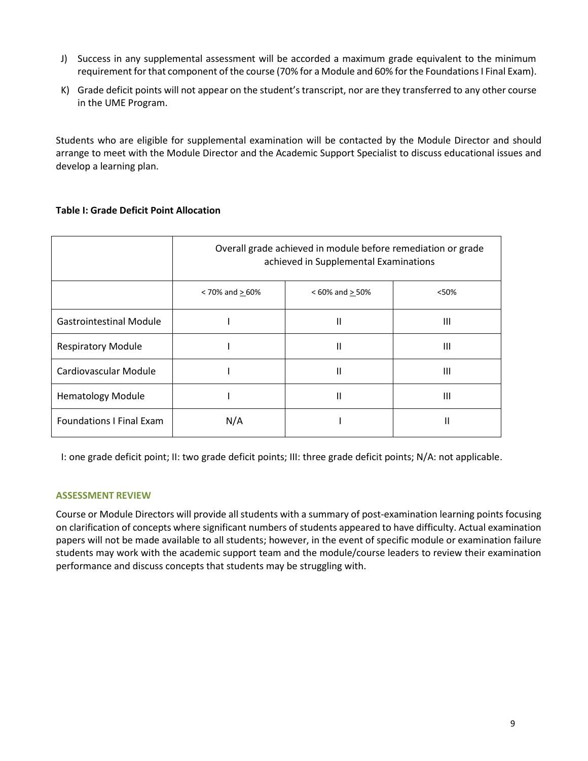- J) Success in any supplemental assessment will be accorded a maximum grade equivalent to the minimum requirement forthat component of the course (70% for a Module and 60% forthe Foundations I Final Exam).
- K) Grade deficit points will not appear on the student's transcript, nor are they transferred to any other course in the UME Program.

Students who are eligible for supplemental examination will be contacted by the Module Director and should arrange to meet with the Module Director and the Academic Support Specialist to discuss educational issues and develop a learning plan.

# **Table I: Grade Deficit Point Allocation**

|                                 | Overall grade achieved in module before remediation or grade<br>achieved in Supplemental Examinations |                       |       |
|---------------------------------|-------------------------------------------------------------------------------------------------------|-----------------------|-------|
|                                 | $< 70\%$ and $> 60\%$                                                                                 | $< 60\%$ and $> 50\%$ | < 50% |
| <b>Gastrointestinal Module</b>  |                                                                                                       | Ш                     | Ш     |
| <b>Respiratory Module</b>       |                                                                                                       | Ш                     | Ш     |
| Cardiovascular Module           |                                                                                                       | Ш                     | Ш     |
| <b>Hematology Module</b>        |                                                                                                       | Ш                     | Ш     |
| <b>Foundations I Final Exam</b> | N/A                                                                                                   |                       |       |

I: one grade deficit point; II: two grade deficit points; III: three grade deficit points; N/A: not applicable.

# **ASSESSMENT REVIEW**

Course or Module Directors will provide all students with a summary of post-examination learning points focusing on clarification of concepts where significant numbers of students appeared to have difficulty. Actual examination papers will not be made available to all students; however, in the event of specific module or examination failure students may work with the academic support team and the module/course leaders to review their examination performance and discuss concepts that students may be struggling with.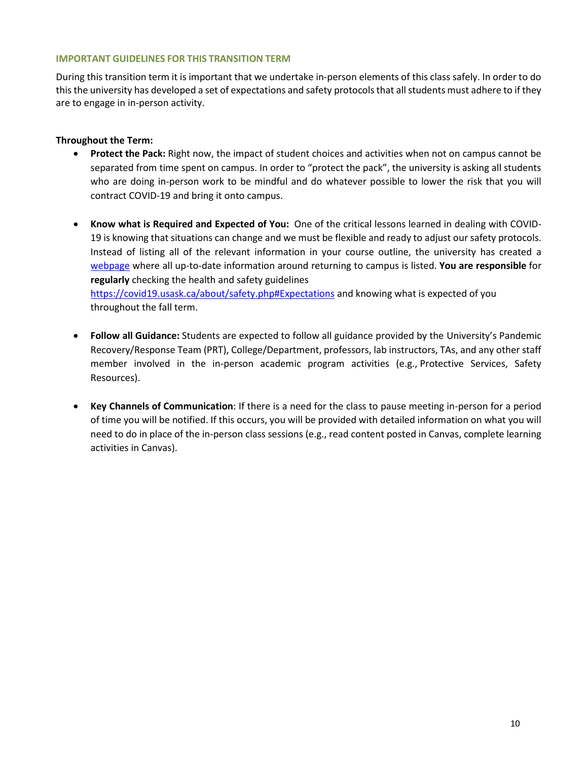# **IMPORTANT GUIDELINES FOR THIS TRANSITION TERM**

During this transition term it is important that we undertake in-person elements of this class safely. In order to do this the university has developed a set of expectations and safety protocols that all students must adhere to if they are to engage in in-person activity.

# **Throughout the Term:**

- **Protect the Pack:** Right now, the impact of student choices and activities when not on campus cannot be separated from time spent on campus. In order to "protect the pack", the university is asking all students who are doing in-person work to be mindful and do whatever possible to lower the risk that you will contract COVID-19 and bring it onto campus.
- **Know what is Required and Expected of You:** One of the critical lessons learned in dealing with COVID-19 is knowing that situations can change and we must be flexible and ready to adjust our safety protocols. Instead of listing all of the relevant information in your course outline, the university has created [a](https://covid19.usask.ca/students.php#Oncampusessentials) [webpage](https://covid19.usask.ca/students.php#Oncampusessentials) where all up-to-date information around returning to campus is listed. **You are responsible** for **regularly** checking the health and safety guidelines <https://covid19.usask.ca/about/safety.php#Expectations> and knowing what is expected of you throughout the fall term.
- **Follow all Guidance:** Students are expected to follow all guidance provided by the University's Pandemic Recovery/Response Team (PRT), College/Department, professors, lab instructors, TAs, and any other staff member involved in the in-person academic program activities (e.g., Protective Services, Safety Resources).
- **Key Channels of Communication**: If there is a need for the class to pause meeting in-person for a period of time you will be notified. If this occurs, you will be provided with detailed information on what you will need to do in place of the in-person class sessions (e.g., read content posted in Canvas, complete learning activities in Canvas).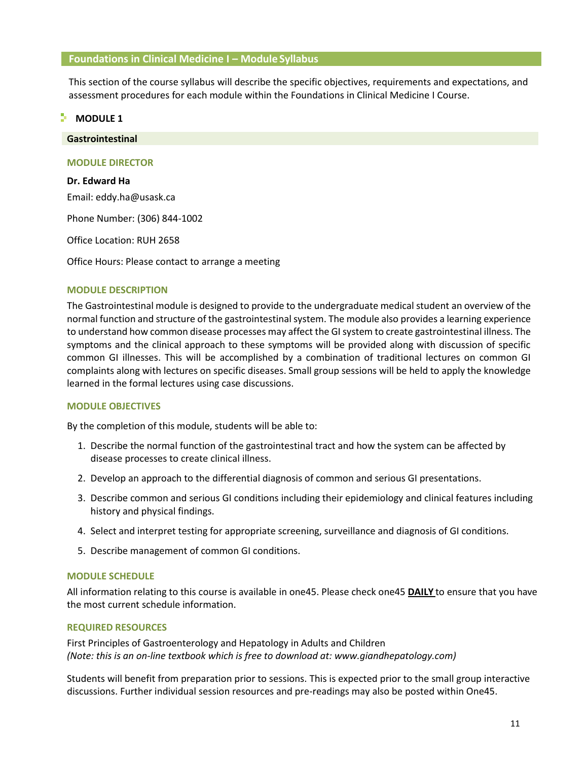# **Foundations in Clinical Medicine I – Module Syllabus**

This section of the course syllabus will describe the specific objectives, requirements and expectations, and assessment procedures for each module within the Foundations in Clinical Medicine I Course.

**MODULE 1** 

**Gastrointestinal**

# **MODULE DIRECTOR**

**Dr. Edward Ha** Email: eddy.ha@usask.ca

Phone Number: (306) 844-1002

Office Location: RUH 2658

Office Hours: Please contact to arrange a meeting

# **MODULE DESCRIPTION**

The Gastrointestinal module is designed to provide to the undergraduate medical student an overview of the normal function and structure of the gastrointestinal system. The module also provides a learning experience to understand how common disease processes may affect the GI system to create gastrointestinal illness. The symptoms and the clinical approach to these symptoms will be provided along with discussion of specific common GI illnesses. This will be accomplished by a combination of traditional lectures on common GI complaints along with lectures on specific diseases. Small group sessions will be held to apply the knowledge learned in the formal lectures using case discussions.

# **MODULE OBJECTIVES**

By the completion of this module, students will be able to:

- 1. Describe the normal function of the gastrointestinal tract and how the system can be affected by disease processes to create clinical illness.
- 2. Develop an approach to the differential diagnosis of common and serious GI presentations.
- 3. Describe common and serious GI conditions including their epidemiology and clinical features including history and physical findings.
- 4. Select and interpret testing for appropriate screening, surveillance and diagnosis of GI conditions.
- 5. Describe management of common GI conditions.

# **MODULE SCHEDULE**

All information relating to this course is available in one45. Please check one45 **DAILY** to ensure that you have the most current schedule information.

#### **REQUIRED RESOURCES**

First Principles of Gastroenterology and Hepatology in Adults and Children *(Note: this is an on-line textbook which is free to download at: www.giandhepatology.com)*

Students will benefit from preparation prior to sessions. This is expected prior to the small group interactive discussions. Further individual session resources and pre-readings may also be posted within One45.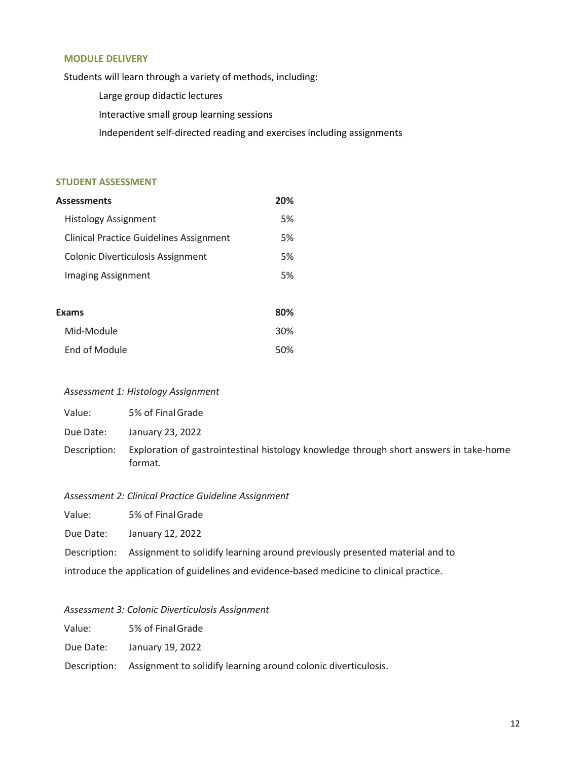#### **MODULE DELIVERY**

Students will learn through a variety of methods, including:

- Large group didactic lectures
- Interactive small group learning sessions

Independent self-directed reading and exercises including assignments

# **STUDENT ASSESSMENT**

| Assessments                                    | 20% |
|------------------------------------------------|-----|
| <b>Histology Assignment</b>                    | 5%  |
| <b>Clinical Practice Guidelines Assignment</b> | 5%  |
| <b>Colonic Diverticulosis Assignment</b>       | 5%  |
| Imaging Assignment                             | 5%  |
|                                                |     |
| Exams                                          | 80% |
| Mid-Module                                     | 30% |
| End of Module                                  | 50% |

## *Assessment 1: Histology Assignment*

| Value:       | 5% of Final Grade                                                                                 |
|--------------|---------------------------------------------------------------------------------------------------|
| Due Date:    | January 23, 2022                                                                                  |
| Description: | Exploration of gastrointestinal histology knowledge through short answers in take-home<br>format. |

#### *Assessment 2: Clinical Practice Guideline Assignment*

Value: 5% of FinalGrade

Due Date: January 12, 2022

Description: Assignment to solidify learning around previously presented material and to

introduce the application of guidelines and evidence-based medicine to clinical practice.

# *Assessment 3: Colonic Diverticulosis Assignment*

Value: 5% of FinalGrade

Due Date: January 19, 2022

Description: Assignment to solidify learning around colonic diverticulosis.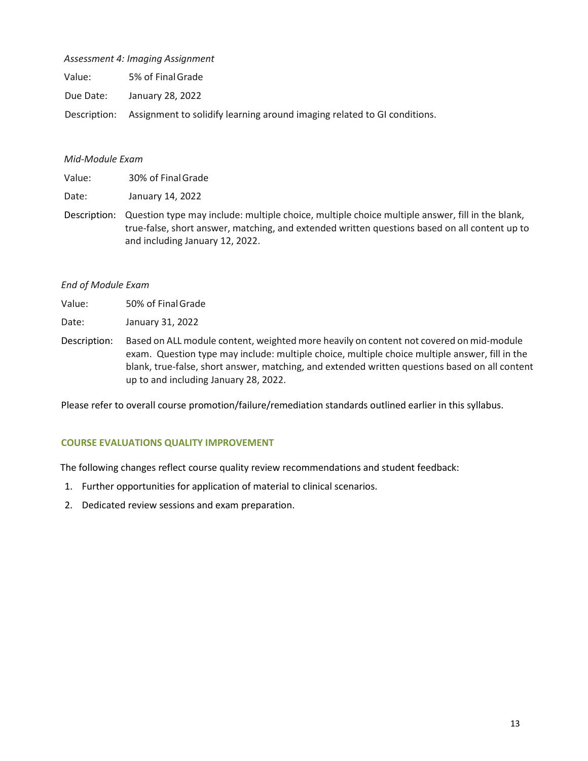# *Assessment 4: Imaging Assignment*

Value: 5% of FinalGrade

Due Date: January 28, 2022

Description: Assignment to solidify learning around imaging related to GI conditions.

# *Mid-Module Exam*

Value: 30% of FinalGrade

Date: January 14, 2022

Description: Question type may include: multiple choice, multiple choice multiple answer, fill in the blank, true-false, short answer, matching, and extended written questions based on all content up to and including January 12, 2022.

# *End of Module Exam*

| Value: | 50% of Final Grade |
|--------|--------------------|
|--------|--------------------|

Date: January 31, 2022

Description: Based on ALL module content, weighted more heavily on content not covered on mid-module exam. Question type may include: multiple choice, multiple choice multiple answer, fill in the blank, true-false, short answer, matching, and extended written questions based on all content up to and including January 28, 2022.

Please refer to overall course promotion/failure/remediation standards outlined earlier in this syllabus.

# **COURSE EVALUATIONS QUALITY IMPROVEMENT**

The following changes reflect course quality review recommendations and student feedback:

- 1. Further opportunities for application of material to clinical scenarios.
- 2. Dedicated review sessions and exam preparation.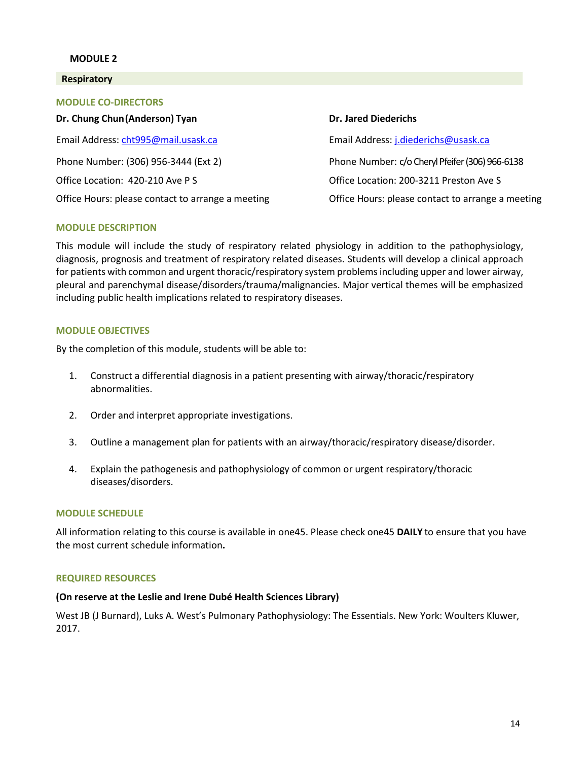# **MODULE 2**

#### **Respiratory**

| <b>MODULE CO-DIRECTORS</b>                        |                                                   |
|---------------------------------------------------|---------------------------------------------------|
| Dr. Chung Chun (Anderson) Tyan                    | <b>Dr. Jared Diederichs</b>                       |
| Email Address: cht995@mail.usask.ca               | Email Address: j.diederichs@usask.ca              |
| Phone Number: (306) 956-3444 (Ext 2)              | Phone Number: c/o Cheryl Pfeifer (306) 966-6138   |
| Office Location: 420-210 Ave P S                  | Office Location: 200-3211 Preston Ave S           |
| Office Hours: please contact to arrange a meeting | Office Hours: please contact to arrange a meeting |

#### **MODULE DESCRIPTION**

This module will include the study of respiratory related physiology in addition to the pathophysiology, diagnosis, prognosis and treatment of respiratory related diseases. Students will develop a clinical approach for patients with common and urgent thoracic/respiratory system problemsincluding upper and lower airway, pleural and parenchymal disease/disorders/trauma/malignancies. Major vertical themes will be emphasized including public health implications related to respiratory diseases.

#### **MODULE OBJECTIVES**

By the completion of this module, students will be able to:

- 1. Construct a differential diagnosis in a patient presenting with airway/thoracic/respiratory abnormalities.
- 2. Order and interpret appropriate investigations.
- 3. Outline a management plan for patients with an airway/thoracic/respiratory disease/disorder.
- 4. Explain the pathogenesis and pathophysiology of common or urgent respiratory/thoracic diseases/disorders.

#### **MODULE SCHEDULE**

All information relating to this course is available in one45. Please check one45 **DAILY** to ensure that you have the most current schedule information**.**

#### **REQUIRED RESOURCES**

#### **(On reserve at the Leslie and Irene Dubé Health Sciences Library)**

West JB (J Burnard), Luks A. West's Pulmonary Pathophysiology: The Essentials. New York: Woulters Kluwer, 2017.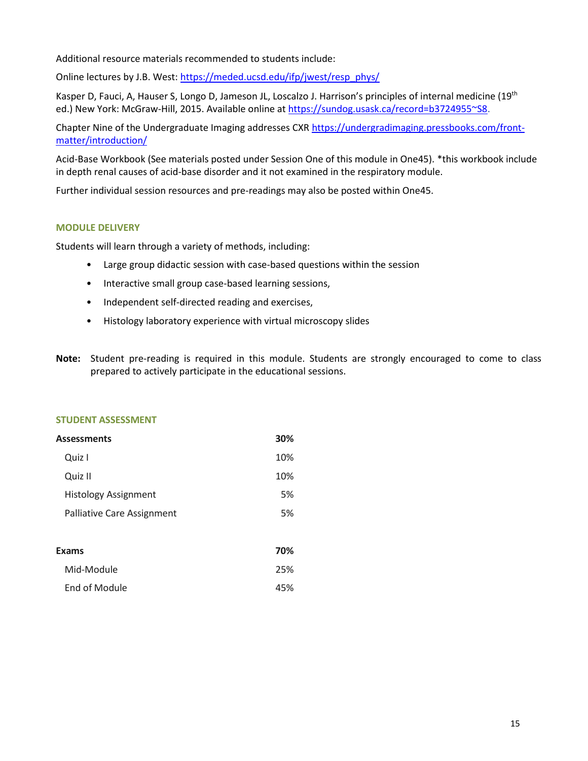Additional resource materials recommended to students include:

Online lectures by J.B. West: [https://meded.ucsd.edu/ifp/jwest/resp\\_phys/](https://meded.ucsd.edu/ifp/jwest/resp_phys/)

Kasper D, Fauci, A, Hauser S, Longo D, Jameson JL, Loscalzo J. Harrison's principles of internal medicine (19th ed.) New York: McGraw-Hill, 2015. Available online at [https://sundog.usask.ca/record=b3724955~S8.](https://sundog.usask.ca/record%3Db3724955~S8)

Chapter Nine of the Undergraduate Imaging addresses CX[R https://undergradimaging.pressbooks.com/front](https://undergradimaging.pressbooks.com/front-matter/introduction/)[matter/introduction/](https://undergradimaging.pressbooks.com/front-matter/introduction/)

Acid-Base Workbook (See materials posted under Session One of this module in One45). \*this workbook include in depth renal causes of acid-base disorder and it not examined in the respiratory module.

Further individual session resources and pre-readings may also be posted within One45.

# **MODULE DELIVERY**

Students will learn through a variety of methods, including:

- Large group didactic session with case-based questions within the session
- Interactive small group case-based learning sessions,
- Independent self-directed reading and exercises,
- Histology laboratory experience with virtual microscopy slides
- **Note:** Student pre-reading is required in this module. Students are strongly encouraged to come to class prepared to actively participate in the educational sessions.

#### **STUDENT ASSESSMENT**

| Assessments                 | 30% |
|-----------------------------|-----|
| Quiz I                      | 10% |
| Quiz II                     | 10% |
| <b>Histology Assignment</b> | 5%  |
| Palliative Care Assignment  | 5%  |
|                             |     |
| Exams                       | 70% |
| Mid-Module                  | 25% |
| End of Module               | 45% |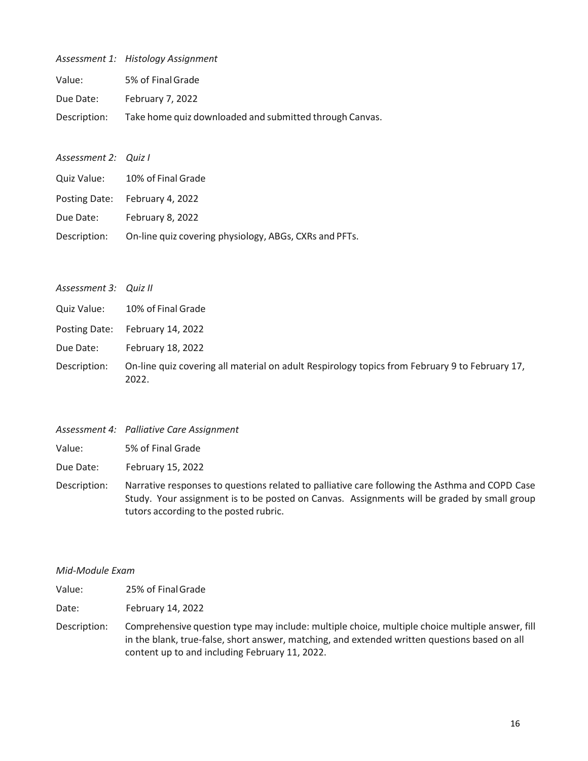|              | Assessment 1: Histology Assignment                      |
|--------------|---------------------------------------------------------|
| Value:       | 5% of Final Grade                                       |
| Due Date:    | February 7, 2022                                        |
| Description: | Take home quiz downloaded and submitted through Canvas. |

| Assessment 2: Quiz I |                                                                     |
|----------------------|---------------------------------------------------------------------|
|                      | Quiz Value: 10% of Final Grade                                      |
|                      | Posting Date: February 4, 2022                                      |
| Due Date:            | February 8, 2022                                                    |
|                      | Description: On-line quiz covering physiology, ABGs, CXRs and PFTs. |

| Assessment 3: Quiz II |                                                                                                         |
|-----------------------|---------------------------------------------------------------------------------------------------------|
| Quiz Value:           | 10% of Final Grade                                                                                      |
| Posting Date:         | February 14, 2022                                                                                       |
| Due Date:             | February 18, 2022                                                                                       |
| Description:          | On-line quiz covering all material on adult Respirology topics from February 9 to February 17,<br>2022. |

| Description: | On-line quiz covering all material on adult Respirology topics from February 9 to |
|--------------|-----------------------------------------------------------------------------------|
|              | 2022.                                                                             |
|              |                                                                                   |
|              |                                                                                   |
|              |                                                                                   |

| Value:       | 5% of Final Grade                             |
|--------------|-----------------------------------------------|
| Due Date:    | February 15, 2022                             |
| Docerintian: | Narrative responses to questions related to r |

*Assessment 4: Palliative Care Assignment*

Description: Narrative responses to questions related to palliative care following the Asthma and COPD Case Study. Your assignment is to be posted on Canvas. Assignments will be graded by small group tutors according to the posted rubric.

# *Mid-Module Exam*

| 25% of Final Grade<br>Value: |
|------------------------------|
|------------------------------|

- Date: February 14, 2022
- Description: Comprehensive question type may include: multiple choice, multiple choice multiple answer, fill in the blank, true-false, short answer, matching, and extended written questions based on all content up to and including February 11, 2022.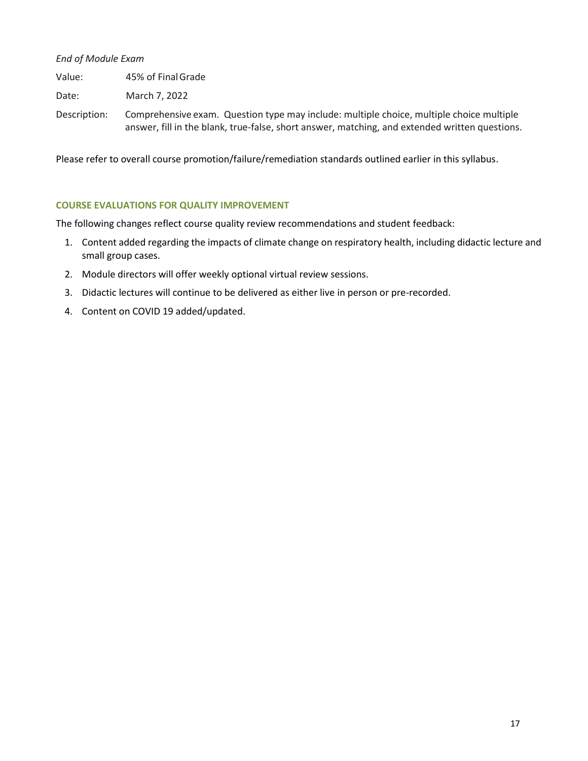*End of Module Exam*

Value: 45% of FinalGrade

Date: March 7, 2022

Description: Comprehensive exam. Question type may include: multiple choice, multiple choice multiple answer, fill in the blank, true-false, short answer, matching, and extended written questions.

Please refer to overall course promotion/failure/remediation standards outlined earlier in this syllabus.

# **COURSE EVALUATIONS FOR QUALITY IMPROVEMENT**

The following changes reflect course quality review recommendations and student feedback:

- 1. Content added regarding the impacts of climate change on respiratory health, including didactic lecture and small group cases.
- 2. Module directors will offer weekly optional virtual review sessions.
- 3. Didactic lectures will continue to be delivered as either live in person or pre-recorded.
- 4. Content on COVID 19 added/updated.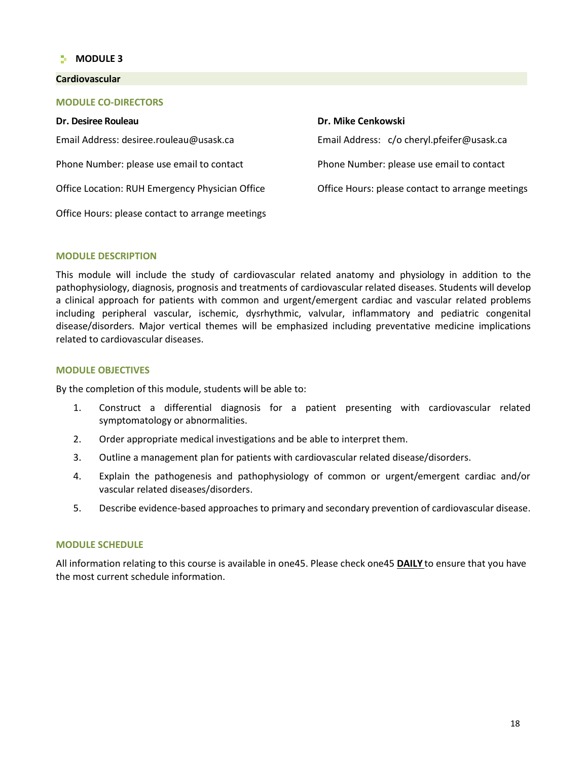# **MODULE 3**

#### **Cardiovascular**

# **MODULE CO-DIRECTORS**

| Dr. Desiree Rouleau                              | Dr. Mike Cenkowski                               |
|--------------------------------------------------|--------------------------------------------------|
| Email Address: desiree.rouleau@usask.ca          | Email Address: c/o cheryl.pfeifer@usask.ca       |
| Phone Number: please use email to contact        | Phone Number: please use email to contact        |
| Office Location: RUH Emergency Physician Office  | Office Hours: please contact to arrange meetings |
| Office Hours: please contact to arrange meetings |                                                  |

#### **MODULE DESCRIPTION**

This module will include the study of cardiovascular related anatomy and physiology in addition to the pathophysiology, diagnosis, prognosis and treatments of cardiovascular related diseases. Students will develop a clinical approach for patients with common and urgent/emergent cardiac and vascular related problems including peripheral vascular, ischemic, dysrhythmic, valvular, inflammatory and pediatric congenital disease/disorders. Major vertical themes will be emphasized including preventative medicine implications related to cardiovascular diseases.

## **MODULE OBJECTIVES**

By the completion of this module, students will be able to:

- 1. Construct a differential diagnosis for a patient presenting with cardiovascular related symptomatology or abnormalities.
- 2. Order appropriate medical investigations and be able to interpret them.
- 3. Outline a management plan for patients with cardiovascular related disease/disorders.
- 4. Explain the pathogenesis and pathophysiology of common or urgent/emergent cardiac and/or vascular related diseases/disorders.
- 5. Describe evidence-based approaches to primary and secondary prevention of cardiovascular disease.

#### **MODULE SCHEDULE**

All information relating to this course is available in one45. Please check one45 **DAILY** to ensure that you have the most current schedule information.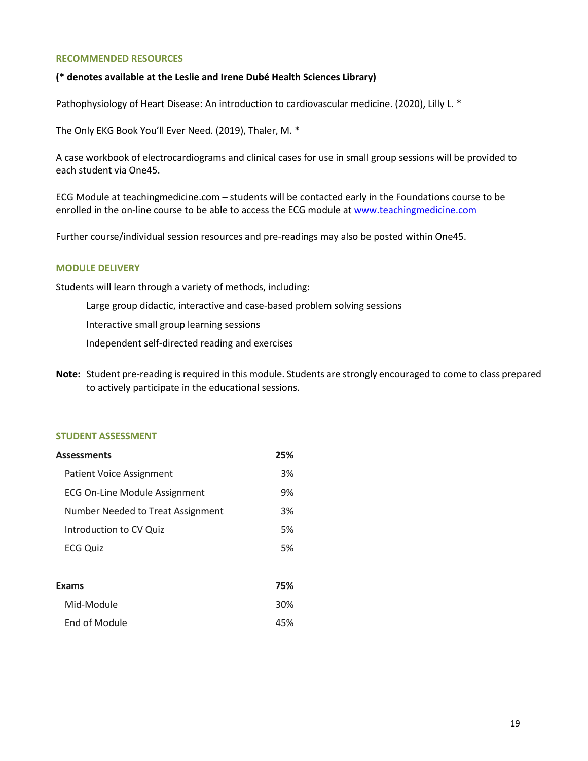#### **RECOMMENDED RESOURCES**

## **(\* denotes available at the Leslie and Irene Dubé Health Sciences Library)**

Pathophysiology of Heart Disease: An introduction to cardiovascular medicine. (2020), Lilly L. \*

The Only EKG Book You'll Ever Need. (2019), Thaler, M. \*

A case workbook of electrocardiograms and clinical cases for use in small group sessions will be provided to each student via One45.

ECG Module at teachingmedicine.com – students will be contacted early in the Foundations course to be enrolled in the on-line course to be able to access the ECG module at [www.teachingmedicine.com](http://www.teachingmedicine.com/)

Further course/individual session resources and pre-readings may also be posted within One45.

#### **MODULE DELIVERY**

Students will learn through a variety of methods, including:

Large group didactic, interactive and case-based problem solving sessions

Interactive small group learning sessions

Independent self-directed reading and exercises

**Note:** Student pre-reading isrequired in this module. Students are strongly encouraged to come to class prepared to actively participate in the educational sessions.

#### **STUDENT ASSESSMENT**

| Assessments                       |    |
|-----------------------------------|----|
| <b>Patient Voice Assignment</b>   | 3% |
| ECG On-Line Module Assignment     | 9% |
| Number Needed to Treat Assignment | 3% |
| Introduction to CV Quiz           | 5% |
| <b>ECG Quiz</b>                   | 5% |
|                                   |    |

| <b>Exams</b>  |     |
|---------------|-----|
| Mid-Module    | 30% |
| End of Module | 45% |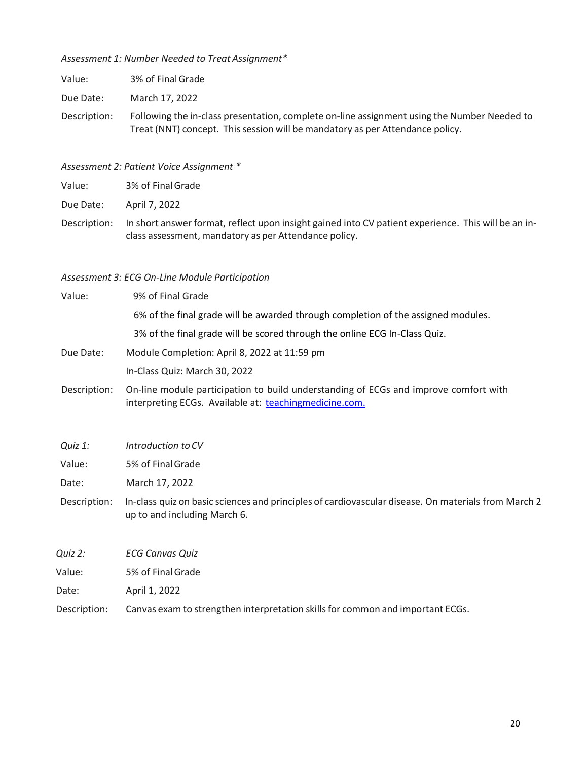*Assessment 1: Number Needed to Treat Assignment\**

| Value: | 3% of Final Grade |
|--------|-------------------|
|        |                   |

Due Date: March 17, 2022

Description: Following the in-class presentation, complete on-line assignment using the Number Needed to Treat (NNT) concept. This session will be mandatory as per Attendance policy.

*Assessment 2: Patient Voice Assignment \**

Value: 3% of FinalGrade

Due Date: April 7, 2022

Description: In short answer format, reflect upon insight gained into CV patient experience. This will be an inclass assessment, mandatory as per Attendance policy.

# *Assessment 3: ECG On-Line Module Participation*

| Value:    | 9% of Final Grade                                                                 |
|-----------|-----------------------------------------------------------------------------------|
|           | 6% of the final grade will be awarded through completion of the assigned modules. |
|           | 3% of the final grade will be scored through the online ECG In-Class Quiz.        |
| Due Date: | Module Completion: April 8, 2022 at 11:59 pm                                      |
|           | In-Class Quiz: March 30, 2022                                                     |
|           |                                                                                   |

- Description: On-line module participation to build understanding of ECGs and improve comfort with interpreting ECGs. Available at: [teachingmedicine.com.](file:///C:/Users/chp048/AppData/Local/Temp/teachingmedicine.com)
- *Quiz 1: Introduction to CV*
- Value: 5% of FinalGrade

Date: March 17, 2022

- Description: In-class quiz on basic sciences and principles of cardiovascular disease. On materials from March 2 up to and including March 6.
- *Quiz 2: ECG Canvas Quiz*

| Value: | 5% of Final Grade |
|--------|-------------------|
|        |                   |

Date: April 1, 2022

Description: Canvas exam to strengthen interpretation skills for common and important ECGs.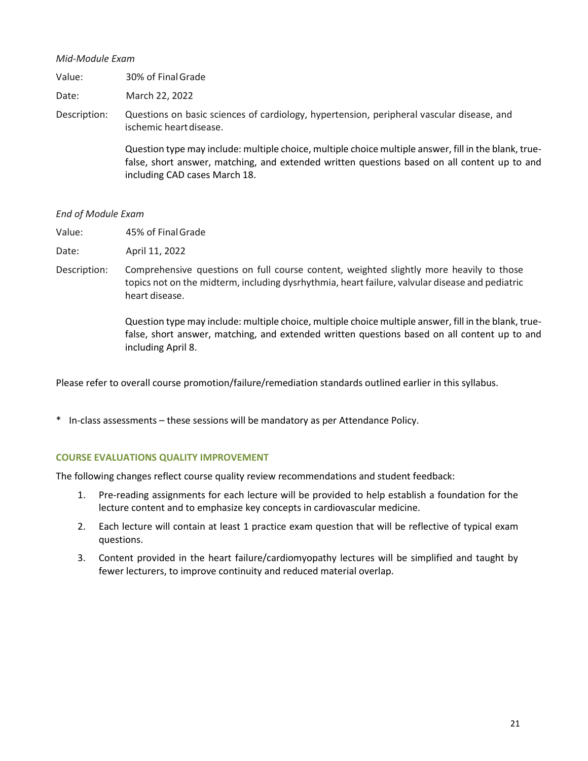# *Mid-Module Exam*

Date: March 22, 2022

Description: Questions on basic sciences of cardiology, hypertension, peripheral vascular disease, and ischemic heart disease.

> Question type may include: multiple choice, multiple choice multiple answer, fill in the blank, truefalse, short answer, matching, and extended written questions based on all content up to and including CAD cases March 18.

# *End of Module Exam*

Value: 45% of FinalGrade

Date: April 11, 2022

Description: Comprehensive questions on full course content, weighted slightly more heavily to those topics not on the midterm, including dysrhythmia, heart failure, valvular disease and pediatric heart disease.

> Question type may include: multiple choice, multiple choice multiple answer, fill in the blank, truefalse, short answer, matching, and extended written questions based on all content up to and including April 8.

Please refer to overall course promotion/failure/remediation standards outlined earlier in this syllabus.

\* In-class assessments – these sessions will be mandatory as per Attendance Policy.

# **COURSE EVALUATIONS QUALITY IMPROVEMENT**

The following changes reflect course quality review recommendations and student feedback:

- 1. Pre-reading assignments for each lecture will be provided to help establish a foundation for the lecture content and to emphasize key concepts in cardiovascular medicine.
- 2. Each lecture will contain at least 1 practice exam question that will be reflective of typical exam questions.
- 3. Content provided in the heart failure/cardiomyopathy lectures will be simplified and taught by fewer lecturers, to improve continuity and reduced material overlap.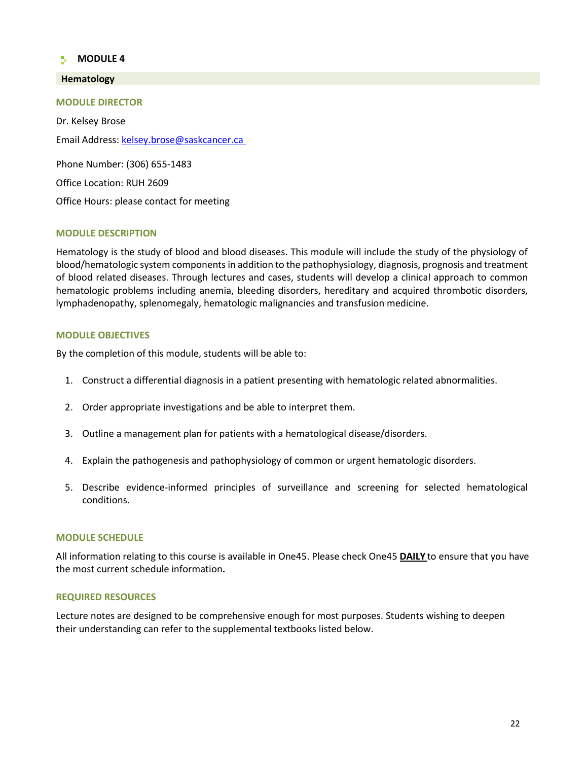# **MODULE 4**

# **Hematology**

**MODULE DIRECTOR**

Dr. Kelsey Brose Email Address[: kelsey.brose@saskcancer.ca](mailto:kelsey.brose@saskcancer.ca)

Phone Number: (306) 655-1483 Office Location: RUH 2609 Office Hours: please contact for meeting

#### **MODULE DESCRIPTION**

Hematology is the study of blood and blood diseases. This module will include the study of the physiology of blood/hematologic system componentsin addition to the pathophysiology, diagnosis, prognosis and treatment of blood related diseases. Through lectures and cases, students will develop a clinical approach to common hematologic problems including anemia, bleeding disorders, hereditary and acquired thrombotic disorders, lymphadenopathy, splenomegaly, hematologic malignancies and transfusion medicine.

#### **MODULE OBJECTIVES**

By the completion of this module, students will be able to:

- 1. Construct a differential diagnosis in a patient presenting with hematologic related abnormalities.
- 2. Order appropriate investigations and be able to interpret them.
- 3. Outline a management plan for patients with a hematological disease/disorders.
- 4. Explain the pathogenesis and pathophysiology of common or urgent hematologic disorders.
- 5. Describe evidence-informed principles of surveillance and screening for selected hematological conditions.

#### **MODULE SCHEDULE**

All information relating to this course is available in One45. Please check One45 **DAILY** to ensure that you have the most current schedule information**.**

#### **REQUIRED RESOURCES**

Lecture notes are designed to be comprehensive enough for most purposes. Students wishing to deepen their understanding can refer to the supplemental textbooks listed below.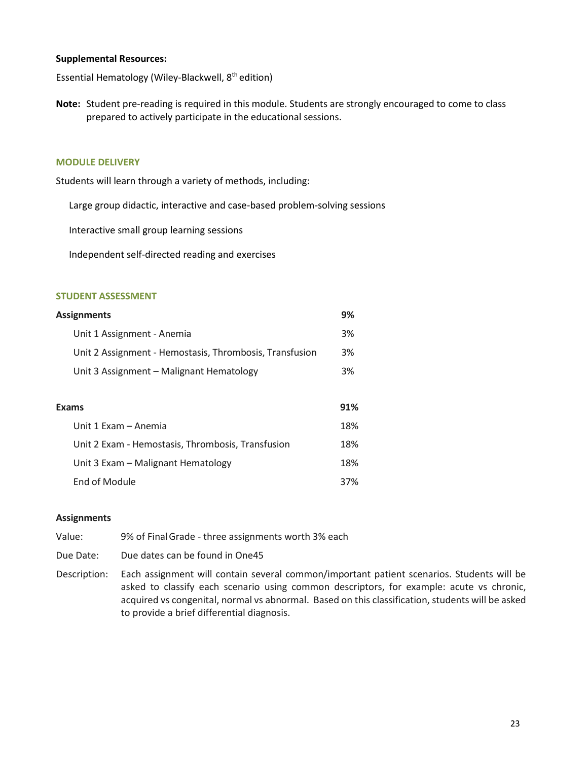## **Supplemental Resources:**

Essential Hematology (Wiley-Blackwell, 8<sup>th</sup> edition)

**Note:** Student pre-reading is required in this module. Students are strongly encouraged to come to class prepared to actively participate in the educational sessions.

#### **MODULE DELIVERY**

Students will learn through a variety of methods, including:

Large group didactic, interactive and case-based problem-solving sessions

Interactive small group learning sessions

Independent self-directed reading and exercises

#### **STUDENT ASSESSMENT**

| <b>Assignments</b>                                      | 9%  |
|---------------------------------------------------------|-----|
| Unit 1 Assignment - Anemia                              | 3%  |
| Unit 2 Assignment - Hemostasis, Thrombosis, Transfusion | 3%  |
| Unit 3 Assignment - Malignant Hematology                | 3%  |
|                                                         |     |
| <b>Exams</b>                                            | 91% |
| Unit 1 Exam - Anemia                                    | 18% |
| Unit 2 Exam - Hemostasis, Thrombosis, Transfusion       | 18% |
| Unit 3 Exam – Malignant Hematology                      | 18% |
|                                                         |     |

#### **Assignments**

Value: 9% of FinalGrade - three assignments worth 3% each

End of Module 37%

- Due Date: Due dates can be found in One45
- Description: Each assignment will contain several common/important patient scenarios. Students will be asked to classify each scenario using common descriptors, for example: acute vs chronic, acquired vs congenital, normal vs abnormal. Based on this classification, students will be asked to provide a brief differential diagnosis.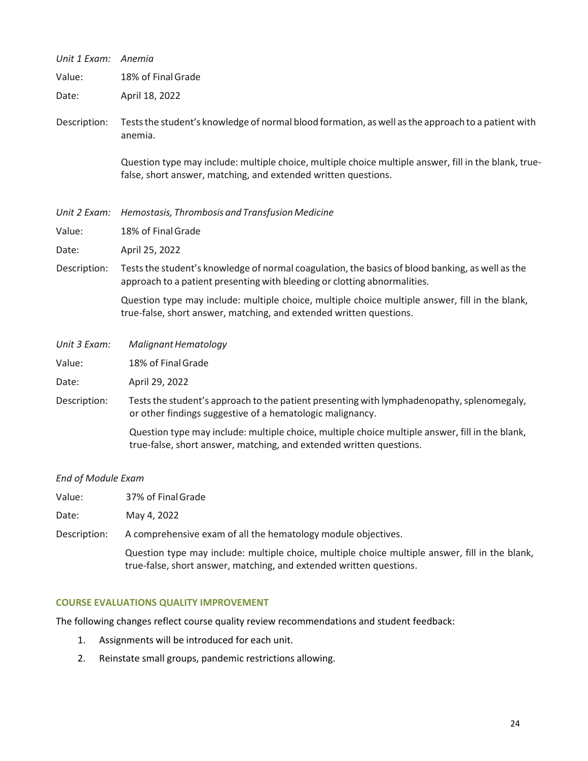| Unit 1 Exam:              | Anemia                                                                                                                                                                        |
|---------------------------|-------------------------------------------------------------------------------------------------------------------------------------------------------------------------------|
| Value:                    | 18% of Final Grade                                                                                                                                                            |
| Date:                     | April 18, 2022                                                                                                                                                                |
| Description:              | Tests the student's knowledge of normal blood formation, as well as the approach to a patient with<br>anemia.                                                                 |
|                           | Question type may include: multiple choice, multiple choice multiple answer, fill in the blank, true-<br>false, short answer, matching, and extended written questions.       |
| Unit 2 Exam:              | Hemostasis, Thrombosis and Transfusion Medicine                                                                                                                               |
| Value:                    | 18% of Final Grade                                                                                                                                                            |
| Date:                     | April 25, 2022                                                                                                                                                                |
| Description:              | Tests the student's knowledge of normal coagulation, the basics of blood banking, as well as the<br>approach to a patient presenting with bleeding or clotting abnormalities. |
|                           | Question type may include: multiple choice, multiple choice multiple answer, fill in the blank,<br>true-false, short answer, matching, and extended written questions.        |
| Unit 3 Exam:              | Malignant Hematology                                                                                                                                                          |
| Value:                    | 18% of Final Grade                                                                                                                                                            |
| Date:                     | April 29, 2022                                                                                                                                                                |
| Description:              | Tests the student's approach to the patient presenting with lymphadenopathy, splenomegaly,<br>or other findings suggestive of a hematologic malignancy.                       |
|                           | Question type may include: multiple choice, multiple choice multiple answer, fill in the blank,<br>true-false, short answer, matching, and extended written questions.        |
| <b>End of Module Exam</b> |                                                                                                                                                                               |
| Value:                    | 37% of Final Grade                                                                                                                                                            |

Date: May 4, 2022

Description: A comprehensive exam of all the hematology module objectives.

Question type may include: multiple choice, multiple choice multiple answer, fill in the blank, true-false, short answer, matching, and extended written questions.

# **COURSE EVALUATIONS QUALITY IMPROVEMENT**

The following changes reflect course quality review recommendations and student feedback:

- 1. Assignments will be introduced for each unit.
- 2. Reinstate small groups, pandemic restrictions allowing.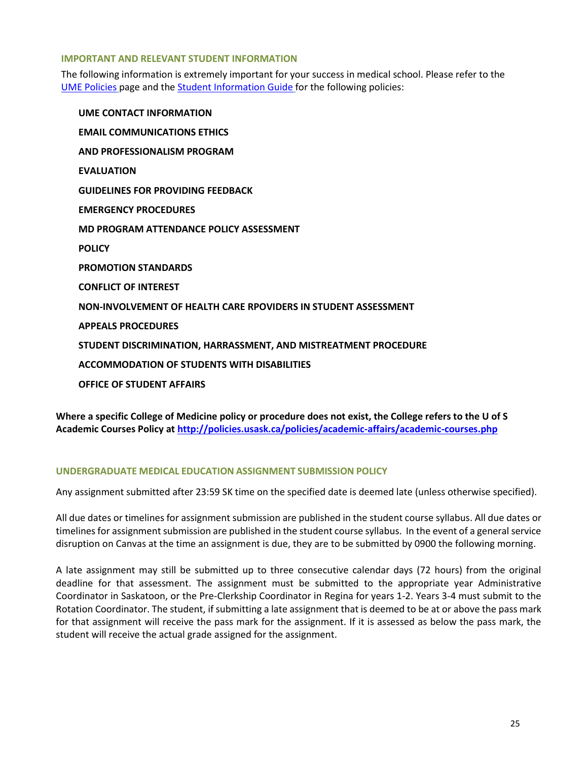# **IMPORTANT AND RELEVANT STUDENT INFORMATION**

The following information is extremely important for your success in medical school. Please refer to the [UME Policies](http://medicine.usask.ca/students/undergraduate/policies.php) page and the [Student Information Guide](http://medicine.usask.ca/students/undergraduate/curriculum-schedules-objectives.php#Aboriginalhealthinthecurriculum) for the following policies:

**UME CONTACT INFORMATION EMAIL COMMUNICATIONS ETHICS AND PROFESSIONALISM PROGRAM EVALUATION GUIDELINES FOR PROVIDING FEEDBACK EMERGENCY PROCEDURES MD PROGRAM ATTENDANCE POLICY ASSESSMENT POLICY PROMOTION STANDARDS CONFLICT OF INTEREST NON-INVOLVEMENT OF HEALTH CARE RPOVIDERS IN STUDENT ASSESSMENT APPEALS PROCEDURES STUDENT DISCRIMINATION, HARRASSMENT, AND MISTREATMENT PROCEDURE ACCOMMODATION OF STUDENTS WITH DISABILITIES OFFICE OF STUDENT AFFAIRS**

**Where a specific College of Medicine policy or procedure does not exist, the College refers to the U of S Academic Courses Policy a[t http://policies.usask.ca/policies/academic-affairs/academic-courses.php](http://policies.usask.ca/policies/academic-affairs/academic-courses.php)**

# **UNDERGRADUATE MEDICAL EDUCATION ASSIGNMENT SUBMISSION POLICY**

Any assignment submitted after 23:59 SK time on the specified date is deemed late (unless otherwise specified).

All due dates or timelines for assignment submission are published in the student course syllabus. All due dates or timelines for assignment submission are published in the student course syllabus. In the event of a general service disruption on Canvas at the time an assignment is due, they are to be submitted by 0900 the following morning.

A late assignment may still be submitted up to three consecutive calendar days (72 hours) from the original deadline for that assessment. The assignment must be submitted to the appropriate year Administrative Coordinator in Saskatoon, or the Pre-Clerkship Coordinator in Regina for years 1-2. Years 3-4 must submit to the Rotation Coordinator. The student, if submitting a late assignment that is deemed to be at or above the pass mark for that assignment will receive the pass mark for the assignment. If it is assessed as below the pass mark, the student will receive the actual grade assigned for the assignment.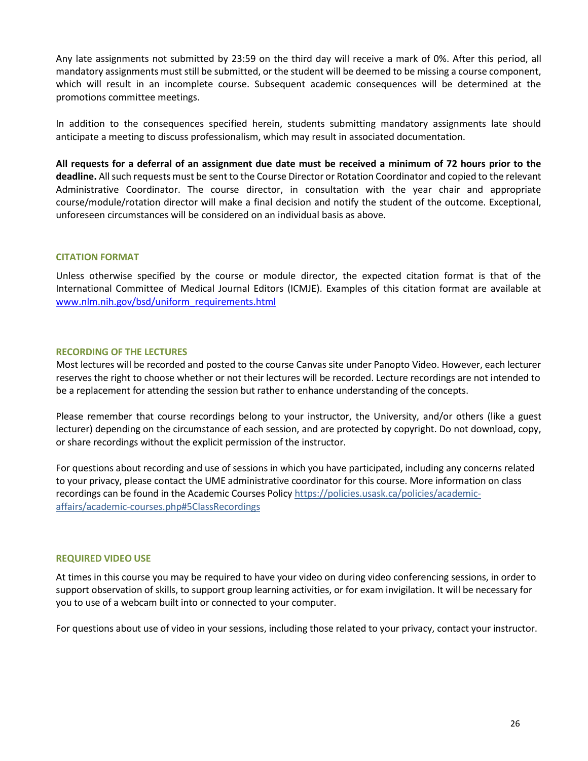Any late assignments not submitted by 23:59 on the third day will receive a mark of 0%. After this period, all mandatory assignments must still be submitted, or the student will be deemed to be missing a course component, which will result in an incomplete course. Subsequent academic consequences will be determined at the promotions committee meetings.

In addition to the consequences specified herein, students submitting mandatory assignments late should anticipate a meeting to discuss professionalism, which may result in associated documentation.

**All requests for a deferral of an assignment due date must be received a minimum of 72 hours prior to the deadline.** All such requests must be sent to the Course Director or Rotation Coordinator and copied to the relevant Administrative Coordinator. The course director, in consultation with the year chair and appropriate course/module/rotation director will make a final decision and notify the student of the outcome. Exceptional, unforeseen circumstances will be considered on an individual basis as above.

# **CITATION FORMAT**

Unless otherwise specified by the course or module director, the expected citation format is that of the International Committee of Medical Journal Editors (ICMJE). Examples of this citation format are available at [www.nlm.nih.gov/bsd/uniform\\_requirements.html](http://www.nlm.nih.gov/bsd/uniform_requirements.html)

# **RECORDING OF THE LECTURES**

Most lectures will be recorded and posted to the course Canvas site under Panopto Video. However, each lecturer reserves the right to choose whether or not their lectures will be recorded. Lecture recordings are not intended to be a replacement for attending the session but rather to enhance understanding of the concepts.

Please remember that course recordings belong to your instructor, the University, and/or others (like a guest lecturer) depending on the circumstance of each session, and are protected by copyright. Do not download, copy, or share recordings without the explicit permission of the instructor.

For questions about recording and use of sessions in which you have participated, including any concerns related to your privacy, please contact the UME administrative coordinator for this course. More information on class recordings can be found in the Academic Courses Policy [https://policies.usask.ca/policies/academic](https://policies.usask.ca/policies/academic-affairs/academic-courses.php#5ClassRecordings)[affairs/academic-courses.php#5ClassRecordings](https://policies.usask.ca/policies/academic-affairs/academic-courses.php#5ClassRecordings)

#### **REQUIRED VIDEO USE**

At times in this course you may be required to have your video on during video conferencing sessions, in order to support observation of skills, to support group learning activities, or for exam invigilation. It will be necessary for you to use of a webcam built into or connected to your computer.

For questions about use of video in your sessions, including those related to your privacy, contact your instructor.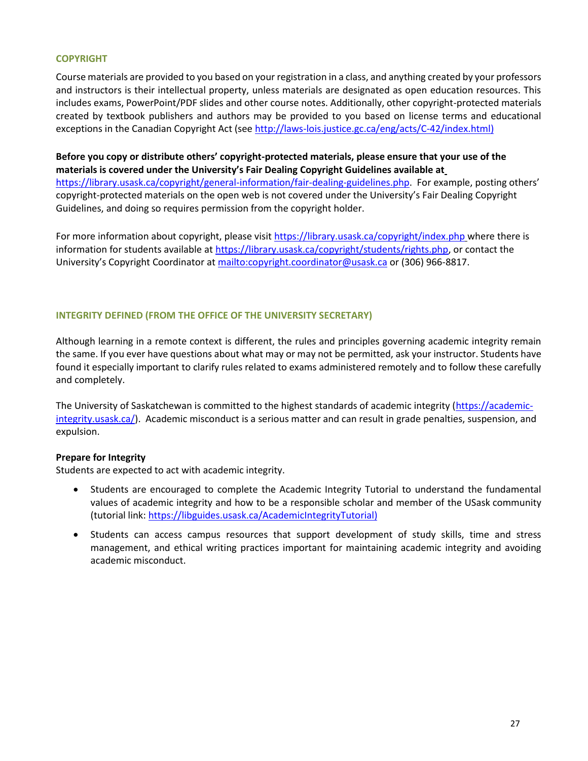# **COPYRIGHT**

Course materials are provided to you based on your registration in a class, and anything created by your professors and instructors is their intellectual property, unless materials are designated as open education resources. This includes exams, PowerPoint/PDF slides and other course notes. Additionally, other copyright-protected materials created by textbook publishers and authors may be provided to you based on license terms and educational exceptions in the Canadian Copyright Act (see [http://laws-lois.justice.gc.ca/eng/acts/C-42/index.html\)](http://laws-lois.justice.gc.ca/eng/acts/C-42/index.html))

**Before you copy or distribute others' copyright-protected materials, please ensure that your use of the materials is covered under the University's Fair Dealing Copyright Guidelines available at** [https://library.usask.ca/copyright/general-information/fair-dealing-guidelines.php.](https://library.usask.ca/copyright/general-information/fair-dealing-guidelines.php)For example, posting others' copyright-protected materials on the open web is not covered under the University's Fair Dealing Copyright Guidelines, and doing so requires permission from the copyright holder.

For more information about copyright, please visi[t https://library.usask.ca/copyright/index.php](https://library.usask.ca/copyright/index.php) where there is information for students available at [https://library.usask.ca/copyright/students/rights.php,](https://library.usask.ca/copyright/students/rights.php) or contact the University's Copyright Coordinator at mailto:copyright.coordinator@usask.ca or (306) 966-8817.

# **INTEGRITY DEFINED (FROM THE OFFICE OF THE UNIVERSITY SECRETARY)**

Although learning in a remote context is different, the rules and principles governing academic integrity remain the same. If you ever have questions about what may or may not be permitted, ask your instructor. Students have found it especially important to clarify rules related to exams administered remotely and to follow these carefully and completely.

The University of Saskatchewan is committed to the highest standards of academic integrity [\(https://academic](https://academic-integrity.usask.ca/)[integrity.usask.ca/\)](https://academic-integrity.usask.ca/). Academic misconduct is a serious matter and can result in grade penalties, suspension, and expulsion.

# **Prepare for Integrity**

Students are expected to act with academic integrity.

- Students are encouraged to complete the Academic Integrity Tutorial to understand the fundamental values of academic integrity and how to be a responsible scholar and member of the USask community (tutorial link: [https://libguides.usask.ca/AcademicIntegrityTutorial\)](https://libguides.usask.ca/AcademicIntegrityTutorial)
- Students can access campus resources that support development of study skills, time and stress management, and ethical writing practices important for maintaining academic integrity and avoiding academic misconduct.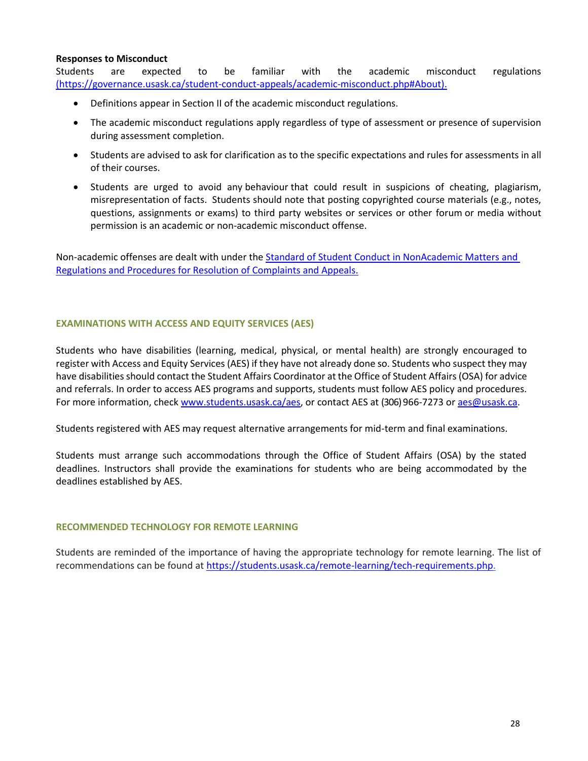# **Responses to Misconduct**

Students are expected to be familiar with the academic misconduct regulations [\(https://governance.usask.ca/student-conduct-appeals/academic-misconduct.php#About\)](https://governance.usask.ca/student-conduct-appeals/academic-misconduct.php#About).

- Definitions appear in Section II of the academic misconduct regulations.
- The academic misconduct regulations apply regardless of type of assessment or presence of supervision during assessment completion.
- Students are advised to ask for clarification as to the specific expectations and rules for assessments in all of their courses.
- Students are urged to avoid any behaviour that could result in suspicions of cheating, plagiarism, misrepresentation of facts. Students should note that posting copyrighted course materials (e.g., notes, questions, assignments or exams) to third party websites or services or other forum or media without permission is an academic or non-academic misconduct offense.

Non-academic offenses are dealt with under the [Standard of Student Conduct in NonAcademic Matters and](https://governance.usask.ca/student-conduct-appeals/non-academic-misconduct.php)  [Regulations and Procedures for Resolution of Complaints and Appeals.](https://governance.usask.ca/student-conduct-appeals/non-academic-misconduct.php)

# **EXAMINATIONS WITH ACCESS AND EQUITY SERVICES (AES)**

Students who have disabilities (learning, medical, physical, or mental health) are strongly encouraged to register with Access and Equity Services (AES) if they have not already done so. Students who suspect they may have disabilities should contact the Student Affairs Coordinator at the Office of Student Affairs (OSA) for advice and referrals. In order to access AES programs and supports, students must follow AES policy and procedures. For more information, check www.students.usask.ca/aes, or contact AES at (306) 966-7273 or [aes@usask.ca.](mailto:aes@usask.ca)

Students registered with AES may request alternative arrangements for mid-term and final examinations.

Students must arrange such accommodations through the Office of Student Affairs (OSA) by the stated deadlines. Instructors shall provide the examinations for students who are being accommodated by the deadlines established by AES.

# **RECOMMENDED TECHNOLOGY FOR REMOTE LEARNING**

Students are reminded of the importance of having the appropriate technology for remote learning. The list of recommendations can be found at [https://students.usask.ca/remote-learning/tech-requirements.php.](https://students.usask.ca/remote-learning/tech-requirements.php)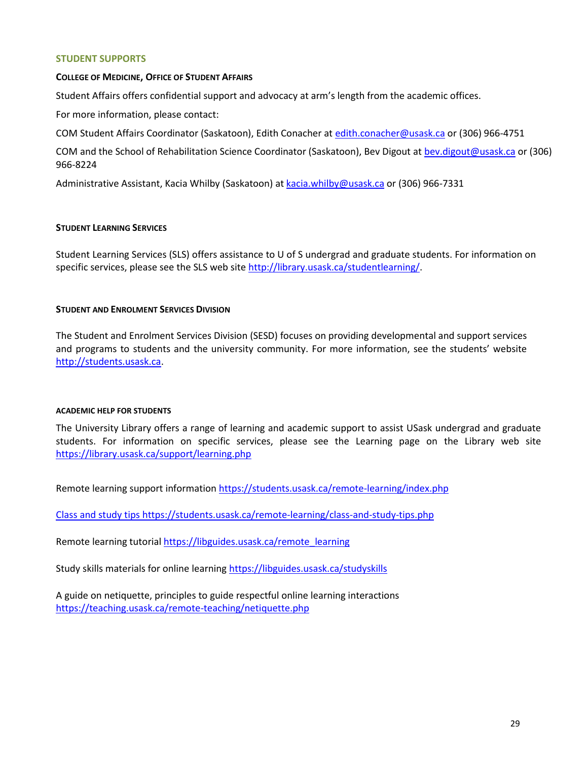## **STUDENT SUPPORTS**

## **COLLEGE OF MEDICINE, OFFICE OF STUDENT AFFAIRS**

Student Affairs offers confidential support and advocacy at arm's length from the academic offices.

For more information, please contact:

COM Student Affairs Coordinator (Saskatoon), Edith Conacher at [edith.conacher@usask.ca](mailto:edith.conacher@usask.ca) or (306) 966-4751

COM and the School of Rehabilitation Science Coordinator (Saskatoon), Bev Digout at [bev.digout@usask.ca](mailto:bev.digout@usask.ca) or (306) 966-8224

Administrative Assistant, Kacia Whilby (Saskatoon) at [kacia.whilby@usask.ca](mailto:kacia.whilby@usask.ca) or (306) 966-7331

# **STUDENT LEARNING SERVICES**

Student Learning Services (SLS) offers assistance to U of S undergrad and graduate students. For information on specific services, please see the SLS web sit[e http://library.usask.ca/studentlearning/.](http://library.usask.ca/studentlearning/)

# **STUDENT AND ENROLMENT SERVICES DIVISION**

The Student and Enrolment Services Division (SESD) focuses on providing developmental and support services and programs to students and the university community. For more information, see the students' website [http://students.usask.ca.](http://students.usask.ca/)

#### **ACADEMIC HELP FOR STUDENTS**

The University Library offers a range of learning and academic support to assist USask undergrad and graduate students. For information on specific services, please see the Learning page on the Library web site <https://library.usask.ca/support/learning.php>

Remote learning support information<https://students.usask.ca/remote-learning/index.php>

Class and study tips<https://students.usask.ca/remote-learning/class-and-study-tips.php>

Remote learning tutoria[l https://libguides.usask.ca/remote\\_learning](https://libguides.usask.ca/remote_learning)

Study skills materials for online learnin[g https://libguides.usask.ca/studyskills](https://libguides.usask.ca/studyskills)

A guide on netiquette, principles to guide respectful online learning interactions <https://teaching.usask.ca/remote-teaching/netiquette.php>